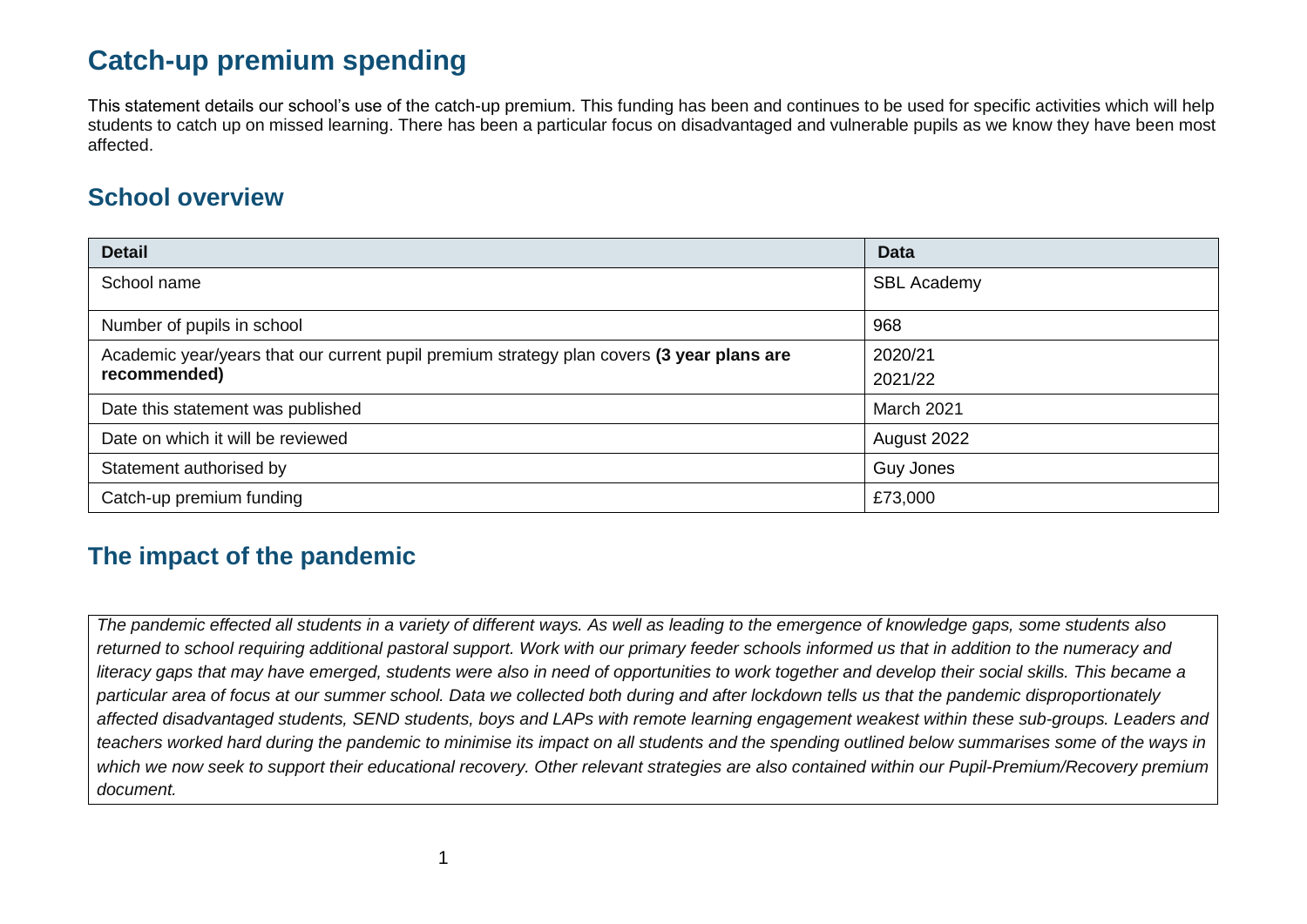## **Catch-up premium spending**

This statement details our school's use of the catch-up premium. This funding has been and continues to be used for specific activities which will help students to catch up on missed learning. There has been a particular focus on disadvantaged and vulnerable pupils as we know they have been most affected.

## **School overview**

| <b>Detail</b>                                                                             | <b>Data</b>        |
|-------------------------------------------------------------------------------------------|--------------------|
| School name                                                                               | <b>SBL Academy</b> |
| Number of pupils in school                                                                | 968                |
| Academic year/years that our current pupil premium strategy plan covers (3 year plans are | 2020/21            |
| recommended)                                                                              | 2021/22            |
| Date this statement was published                                                         | March 2021         |
| Date on which it will be reviewed                                                         | August 2022        |
| Statement authorised by                                                                   | <b>Guy Jones</b>   |
| Catch-up premium funding                                                                  | £73,000            |

## **The impact of the pandemic**

*The pandemic effected all students in a variety of different ways. As well as leading to the emergence of knowledge gaps, some students also returned to school requiring additional pastoral support. Work with our primary feeder schools informed us that in addition to the numeracy and literacy gaps that may have emerged, students were also in need of opportunities to work together and develop their social skills. This became a particular area of focus at our summer school. Data we collected both during and after lockdown tells us that the pandemic disproportionately affected disadvantaged students, SEND students, boys and LAPs with remote learning engagement weakest within these sub-groups. Leaders and teachers worked hard during the pandemic to minimise its impact on all students and the spending outlined below summarises some of the ways in which we now seek to support their educational recovery. Other relevant strategies are also contained within our Pupil-Premium/Recovery premium document.*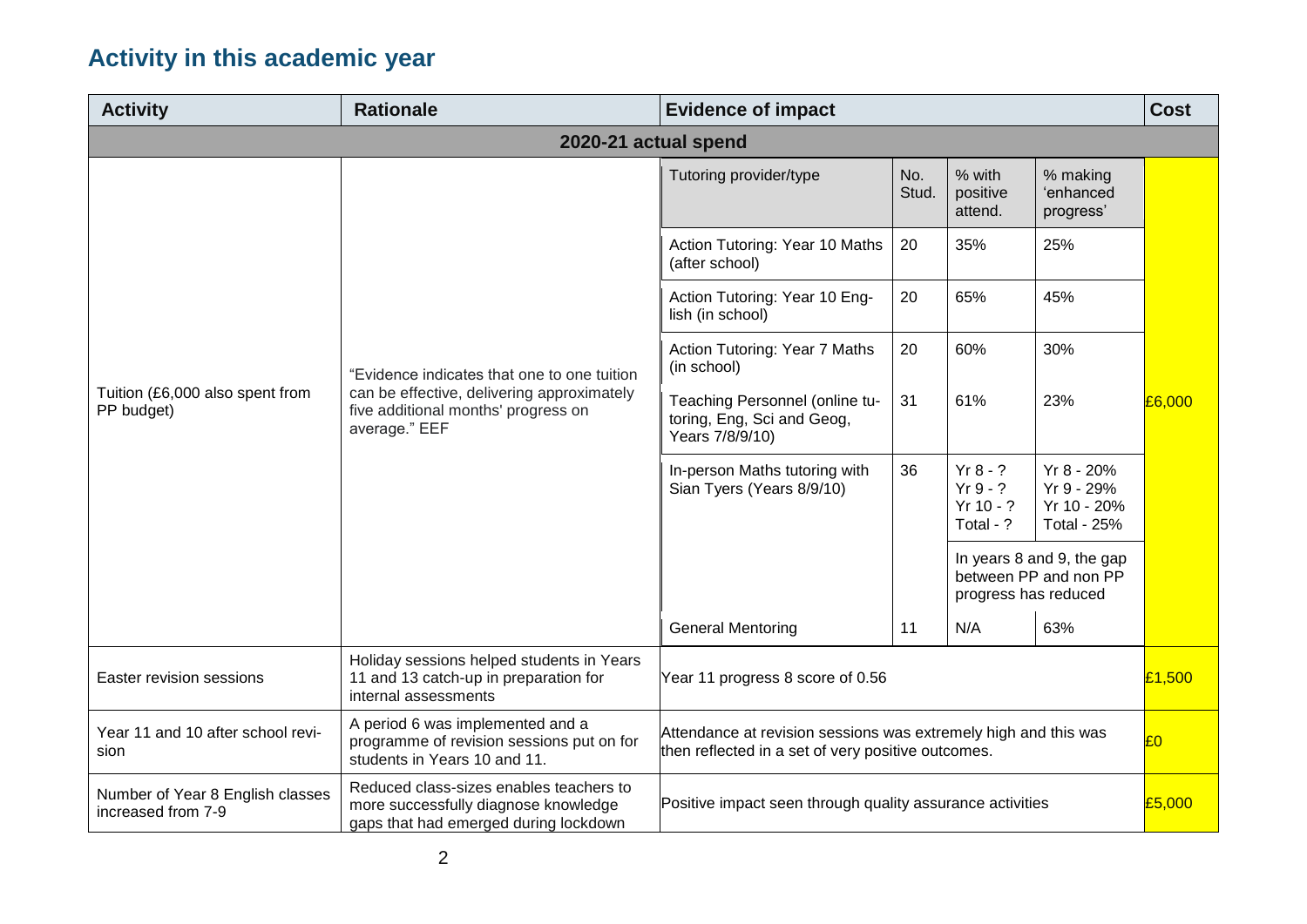## **Activity in this academic year**

| <b>Activity</b>                                        | <b>Rationale</b>                                                                                                                                  | <b>Evidence of impact</b>                                                                                             |              |                                                                            |                                                               | <b>Cost</b> |  |  |
|--------------------------------------------------------|---------------------------------------------------------------------------------------------------------------------------------------------------|-----------------------------------------------------------------------------------------------------------------------|--------------|----------------------------------------------------------------------------|---------------------------------------------------------------|-------------|--|--|
| 2020-21 actual spend                                   |                                                                                                                                                   |                                                                                                                       |              |                                                                            |                                                               |             |  |  |
| Tuition (£6,000 also spent from<br>PP budget)          | "Evidence indicates that one to one tuition<br>can be effective, delivering approximately<br>five additional months' progress on<br>average." EEF | Tutoring provider/type                                                                                                | No.<br>Stud. | % with<br>positive<br>attend.                                              | % making<br>'enhanced<br>progress'                            | £6,000      |  |  |
|                                                        |                                                                                                                                                   | Action Tutoring: Year 10 Maths<br>(after school)                                                                      | 20           | 35%                                                                        | 25%                                                           |             |  |  |
|                                                        |                                                                                                                                                   | Action Tutoring: Year 10 Eng-<br>lish (in school)                                                                     | 20           | 65%                                                                        | 45%                                                           |             |  |  |
|                                                        |                                                                                                                                                   | Action Tutoring: Year 7 Maths<br>(in school)                                                                          | 20           | 60%                                                                        | 30%                                                           |             |  |  |
|                                                        |                                                                                                                                                   | Teaching Personnel (online tu-<br>toring, Eng, Sci and Geog,<br>Years 7/8/9/10)                                       | 31           | 61%                                                                        | 23%                                                           |             |  |  |
|                                                        |                                                                                                                                                   | In-person Maths tutoring with<br>Sian Tyers (Years 8/9/10)                                                            | 36           | $Yr 8 - ?$<br>$Yr9 - ?$<br>$Yr 10 - ?$<br>Total - ?                        | Yr 8 - 20%<br>Yr 9 - 29%<br>Yr 10 - 20%<br><b>Total - 25%</b> |             |  |  |
|                                                        |                                                                                                                                                   |                                                                                                                       |              | In years 8 and 9, the gap<br>between PP and non PP<br>progress has reduced |                                                               |             |  |  |
|                                                        |                                                                                                                                                   | <b>General Mentoring</b>                                                                                              | 11           | N/A                                                                        | 63%                                                           |             |  |  |
| Easter revision sessions                               | Holiday sessions helped students in Years<br>11 and 13 catch-up in preparation for<br>internal assessments                                        | Year 11 progress 8 score of 0.56                                                                                      |              |                                                                            | £1,500                                                        |             |  |  |
| Year 11 and 10 after school revi-<br>sion              | A period 6 was implemented and a<br>programme of revision sessions put on for<br>students in Years 10 and 11.                                     | Attendance at revision sessions was extremely high and this was<br>then reflected in a set of very positive outcomes. |              |                                                                            | £0                                                            |             |  |  |
| Number of Year 8 English classes<br>increased from 7-9 | Reduced class-sizes enables teachers to<br>more successfully diagnose knowledge<br>gaps that had emerged during lockdown                          | Positive impact seen through quality assurance activities                                                             |              |                                                                            |                                                               | £5,000      |  |  |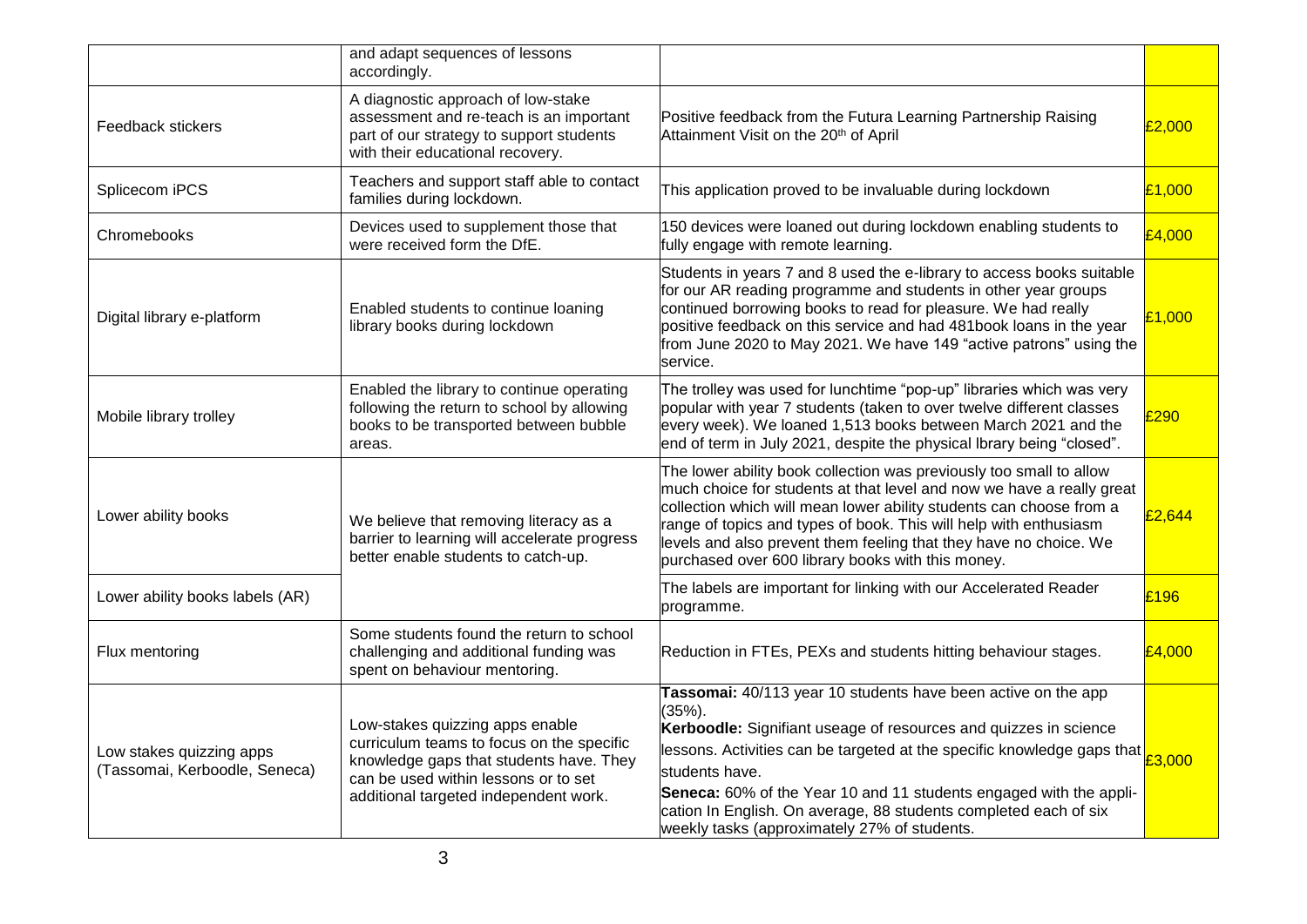|                                                           | and adapt sequences of lessons<br>accordingly.                                                                                                                                                           |                                                                                                                                                                                                                                                                                                                                                                                                                                                                                      |        |
|-----------------------------------------------------------|----------------------------------------------------------------------------------------------------------------------------------------------------------------------------------------------------------|--------------------------------------------------------------------------------------------------------------------------------------------------------------------------------------------------------------------------------------------------------------------------------------------------------------------------------------------------------------------------------------------------------------------------------------------------------------------------------------|--------|
| Feedback stickers                                         | A diagnostic approach of low-stake<br>assessment and re-teach is an important<br>part of our strategy to support students<br>with their educational recovery.                                            | Positive feedback from the Futura Learning Partnership Raising<br>Attainment Visit on the 20 <sup>th</sup> of April                                                                                                                                                                                                                                                                                                                                                                  | £2,000 |
| Splicecom iPCS                                            | Teachers and support staff able to contact<br>families during lockdown.                                                                                                                                  | This application proved to be invaluable during lockdown                                                                                                                                                                                                                                                                                                                                                                                                                             | £1,000 |
| Chromebooks                                               | Devices used to supplement those that<br>were received form the DfE.                                                                                                                                     | 150 devices were loaned out during lockdown enabling students to<br>fully engage with remote learning.                                                                                                                                                                                                                                                                                                                                                                               | £4,000 |
| Digital library e-platform                                | Enabled students to continue loaning<br>library books during lockdown                                                                                                                                    | Students in years 7 and 8 used the e-library to access books suitable<br>for our AR reading programme and students in other year groups<br>continued borrowing books to read for pleasure. We had really<br>positive feedback on this service and had 481book loans in the year<br>from June 2020 to May 2021. We have 149 "active patrons" using the<br>service.                                                                                                                    | £1,000 |
| Mobile library trolley                                    | Enabled the library to continue operating<br>following the return to school by allowing<br>books to be transported between bubble<br>areas.                                                              | The trolley was used for lunchtime "pop-up" libraries which was very<br>popular with year 7 students (taken to over twelve different classes<br>every week). We loaned 1,513 books between March 2021 and the<br>end of term in July 2021, despite the physical Ibrary being "closed".                                                                                                                                                                                               | £290   |
| Lower ability books                                       | We believe that removing literacy as a<br>barrier to learning will accelerate progress<br>better enable students to catch-up.                                                                            | The lower ability book collection was previously too small to allow<br>much choice for students at that level and now we have a really great<br>collection which will mean lower ability students can choose from a<br>range of topics and types of book. This will help with enthusiasm<br>levels and also prevent them feeling that they have no choice. We<br>purchased over 600 library books with this money.                                                                   | £2,644 |
| Lower ability books labels (AR)                           |                                                                                                                                                                                                          | The labels are important for linking with our Accelerated Reader<br>programme.                                                                                                                                                                                                                                                                                                                                                                                                       | £196   |
| Flux mentoring                                            | Some students found the return to school<br>challenging and additional funding was<br>spent on behaviour mentoring.                                                                                      | Reduction in FTEs, PEXs and students hitting behaviour stages.                                                                                                                                                                                                                                                                                                                                                                                                                       | £4,000 |
| Low stakes quizzing apps<br>(Tassomai, Kerboodle, Seneca) | Low-stakes quizzing apps enable<br>curriculum teams to focus on the specific<br>knowledge gaps that students have. They<br>can be used within lessons or to set<br>additional targeted independent work. | Tassomai: 40/113 year 10 students have been active on the app<br>$(35%)$ .<br>Kerboodle: Signifiant useage of resources and quizzes in science<br>lessons. Activities can be targeted at the specific knowledge gaps that $\begin{bmatrix} 1 & 1 \\ 2 & 3 \end{bmatrix}$<br>students have.<br>Seneca: 60% of the Year 10 and 11 students engaged with the appli-<br>cation In English. On average, 88 students completed each of six<br>weekly tasks (approximately 27% of students. |        |